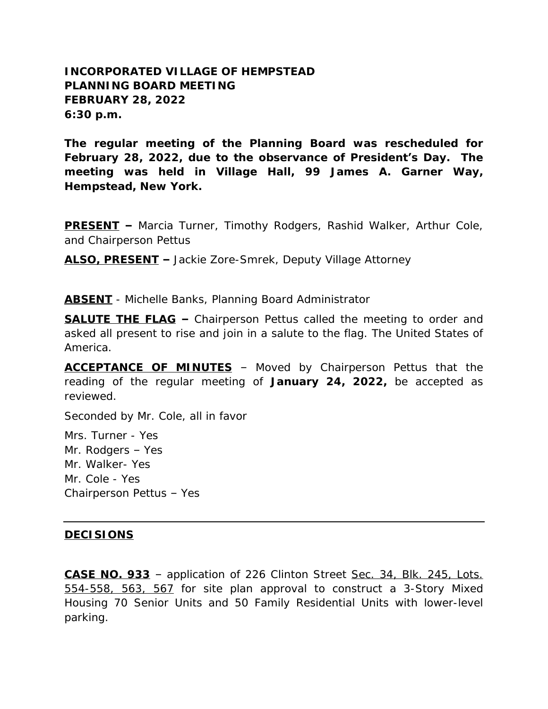## **INCORPORATED VILLAGE OF HEMPSTEAD PLANNING BOARD MEETING FEBRUARY 28, 2022 6:30 p.m.**

**The regular meeting of the Planning Board was rescheduled for February 28, 2022, due to the observance of President's Day. The meeting was held in Village Hall, 99 James A. Garner Way, Hempstead, New York.**

**PRESENT –** Marcia Turner, Timothy Rodgers, Rashid Walker, Arthur Cole, and Chairperson Pettus

**ALSO, PRESENT –** Jackie Zore-Smrek, Deputy Village Attorney

**ABSENT** - Michelle Banks, Planning Board Administrator

**SALUTE THE FLAG –** Chairperson Pettus called the meeting to order and asked all present to rise and join in a salute to the flag. The United States of America.

**ACCEPTANCE OF MINUTES** – Moved by Chairperson Pettus that the reading of the regular meeting of **January 24, 2022,** be accepted as reviewed.

Seconded by Mr. Cole, all in favor

Mrs. Turner - Yes Mr. Rodgers – Yes Mr. Walker- Yes Mr. Cole - Yes Chairperson Pettus – Yes

## **DECISIONS**

**CASE NO. 933** – application of 226 Clinton Street Sec. 34, Blk. 245, Lots. 554-558, 563, 567 for site plan approval to construct a 3-Story Mixed Housing 70 Senior Units and 50 Family Residential Units with lower-level parking.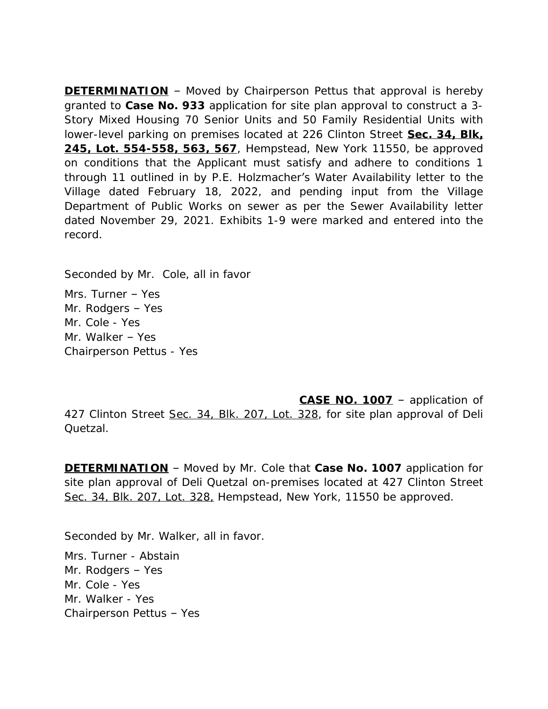**DETERMINATION** – Moved by Chairperson Pettus that approval is hereby granted to **Case No. 933** application for site plan approval to construct a 3- Story Mixed Housing 70 Senior Units and 50 Family Residential Units with lower-level parking on premises located at 226 Clinton Street **Sec. 34, Blk, 245, Lot. 554-558, 563, 567**, Hempstead, New York 11550, be approved on conditions that the Applicant must satisfy and adhere to conditions 1 through 11 outlined in by P.E. Holzmacher's Water Availability letter to the Village dated February 18, 2022, and pending input from the Village Department of Public Works on sewer as per the Sewer Availability letter dated November 29, 2021. Exhibits 1-9 were marked and entered into the record.

Seconded by Mr. Cole, all in favor

Mrs. Turner – Yes Mr. Rodgers – Yes Mr. Cole - Yes Mr. Walker – Yes Chairperson Pettus - Yes

**CASE NO. 1007** – application of 427 Clinton Street Sec. 34, Blk. 207, Lot. 328, for site plan approval of Deli Quetzal.

**DETERMINATION** – Moved by Mr. Cole that **Case No. 1007** application for site plan approval of Deli Quetzal on-premises located at 427 Clinton Street Sec. 34, Blk. 207, Lot. 328, Hempstead, New York, 11550 be approved.

Seconded by Mr. Walker, all in favor.

Mrs. Turner - Abstain Mr. Rodgers – Yes Mr. Cole - Yes Mr. Walker - Yes Chairperson Pettus – Yes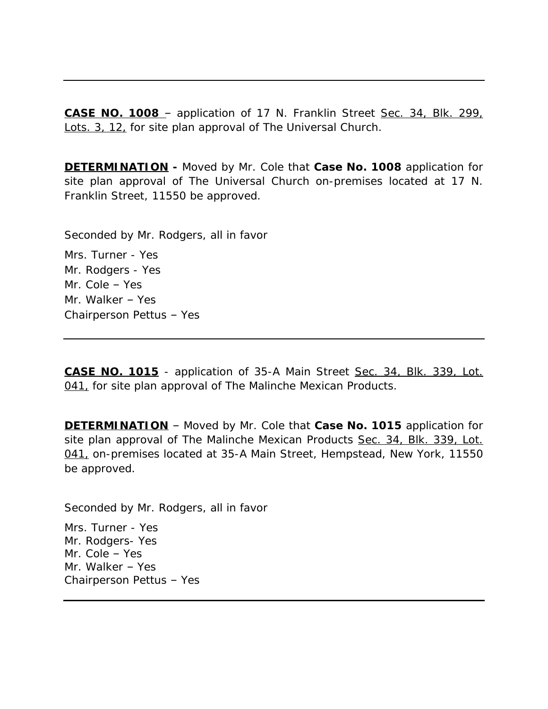**CASE NO. 1008** – application of 17 N. Franklin Street Sec. 34, Blk. 299, Lots. 3, 12, for site plan approval of The Universal Church.

**DETERMINATION -** Moved by Mr. Cole that **Case No. 1008** application for site plan approval of The Universal Church on-premises located at 17 N. Franklin Street, 11550 be approved.

Seconded by Mr. Rodgers, all in favor

Mrs. Turner - Yes Mr. Rodgers - Yes Mr. Cole – Yes Mr. Walker – Yes Chairperson Pettus – Yes

**CASE NO. 1015** - application of 35-A Main Street Sec. 34, Blk. 339, Lot. 041, for site plan approval of The Malinche Mexican Products.

**DETERMINATION** – Moved by Mr. Cole that **Case No. 1015** application for site plan approval of The Malinche Mexican Products Sec. 34, Blk. 339, Lot. 041, on-premises located at 35-A Main Street, Hempstead, New York, 11550 be approved.

Seconded by Mr. Rodgers, all in favor

Mrs. Turner - Yes Mr. Rodgers- Yes Mr. Cole – Yes Mr. Walker – Yes Chairperson Pettus – Yes